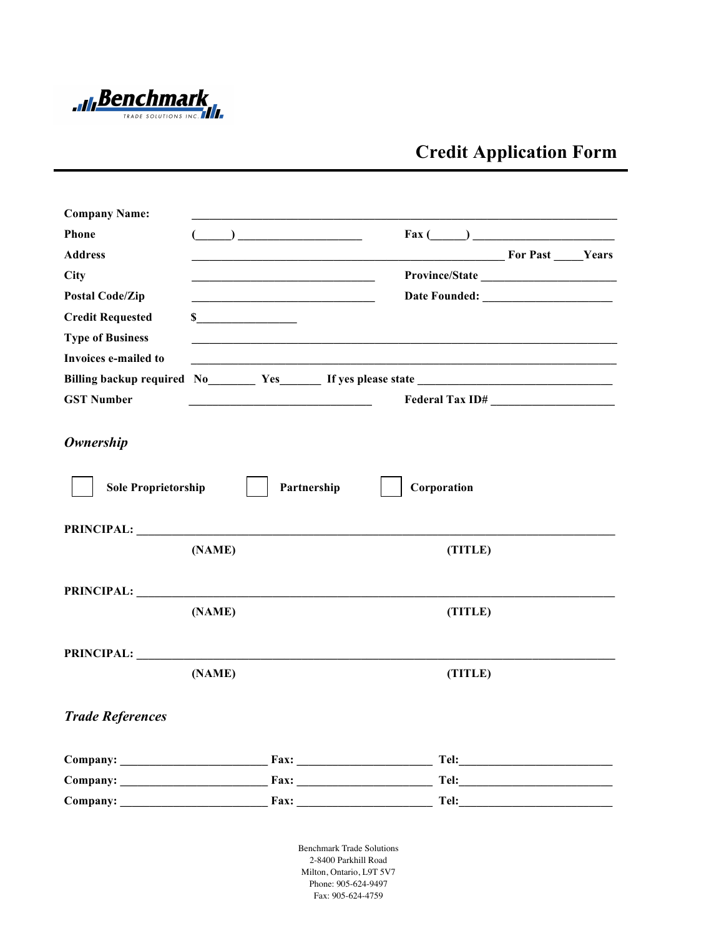

## **Credit Application Form**

| <b>Company Name:</b>                           |                                                                   |                                                                                                                     |                                                  |  |  |
|------------------------------------------------|-------------------------------------------------------------------|---------------------------------------------------------------------------------------------------------------------|--------------------------------------------------|--|--|
| Phone                                          | $\begin{array}{c} \hline \end{array}$                             |                                                                                                                     |                                                  |  |  |
| <b>Address</b>                                 |                                                                   |                                                                                                                     | <b>Example 3</b> For Past <b>Example 3</b> Years |  |  |
| City                                           |                                                                   |                                                                                                                     |                                                  |  |  |
| <b>Postal Code/Zip</b>                         | <u> 1989 - Johann John Stein, meil am der Schwarzer (d. 1989)</u> |                                                                                                                     |                                                  |  |  |
| <b>Credit Requested</b>                        |                                                                   |                                                                                                                     |                                                  |  |  |
| <b>Type of Business</b>                        |                                                                   |                                                                                                                     |                                                  |  |  |
| Invoices e-mailed to                           |                                                                   | <u> 1989 - Johann John Stoff, deutscher Stoffen und der Stoffen und der Stoffen und der Stoffen und der Stoffen</u> |                                                  |  |  |
|                                                | Billing backup required No Yes Yes If yes please state            |                                                                                                                     |                                                  |  |  |
| <b>GST Number</b>                              | <u> 1989 - Johann Barn, mars eta biztanleria (h. 1989).</u>       |                                                                                                                     | Federal Tax ID#                                  |  |  |
| <b>Ownership</b><br><b>Sole Proprietorship</b> |                                                                   | Partnership<br>Corporation                                                                                          |                                                  |  |  |
|                                                |                                                                   |                                                                                                                     |                                                  |  |  |
| <b>PRINCIPAL:</b>                              |                                                                   |                                                                                                                     |                                                  |  |  |
|                                                | (NAME)                                                            | (TITLE)                                                                                                             |                                                  |  |  |
| PRINCIPAL:                                     | (NAME)                                                            | (TITLE)                                                                                                             |                                                  |  |  |
|                                                |                                                                   |                                                                                                                     |                                                  |  |  |
|                                                |                                                                   |                                                                                                                     |                                                  |  |  |
|                                                | (NAME)                                                            | (TITLE)                                                                                                             |                                                  |  |  |
| <b>Trade References</b>                        |                                                                   |                                                                                                                     |                                                  |  |  |
|                                                |                                                                   |                                                                                                                     |                                                  |  |  |
|                                                |                                                                   |                                                                                                                     |                                                  |  |  |
|                                                |                                                                   |                                                                                                                     |                                                  |  |  |
|                                                |                                                                   | <b>Benchmark Trade Solutions</b>                                                                                    |                                                  |  |  |

2-8400 Parkhill Road Milton, Ontario, L9T 5V7 Phone 905-624-9497 Phone: 905-624-9497 Fax: 905-624-4759 Fax: 905-624-4759